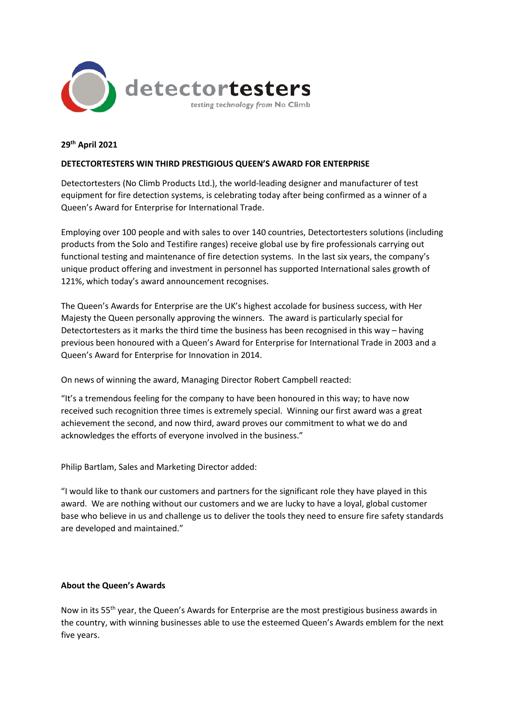

## **29th April 2021**

## **DETECTORTESTERS WIN THIRD PRESTIGIOUS QUEEN'S AWARD FOR ENTERPRISE**

Detectortesters (No Climb Products Ltd.), the world-leading designer and manufacturer of test equipment for fire detection systems, is celebrating today after being confirmed as a winner of a Queen's Award for Enterprise for International Trade.

Employing over 100 people and with sales to over 140 countries, Detectortesters solutions (including products from the Solo and Testifire ranges) receive global use by fire professionals carrying out functional testing and maintenance of fire detection systems. In the last six years, the company's unique product offering and investment in personnel has supported International sales growth of 121%, which today's award announcement recognises.

The Queen's Awards for Enterprise are the UK's highest accolade for business success, with Her Majesty the Queen personally approving the winners. The award is particularly special for Detectortesters as it marks the third time the business has been recognised in this way – having previous been honoured with a Queen's Award for Enterprise for International Trade in 2003 and a Queen's Award for Enterprise for Innovation in 2014.

On news of winning the award, Managing Director Robert Campbell reacted:

"It's a tremendous feeling for the company to have been honoured in this way; to have now received such recognition three times is extremely special. Winning our first award was a great achievement the second, and now third, award proves our commitment to what we do and acknowledges the efforts of everyone involved in the business."

Philip Bartlam, Sales and Marketing Director added:

"I would like to thank our customers and partners for the significant role they have played in this award. We are nothing without our customers and we are lucky to have a loyal, global customer base who believe in us and challenge us to deliver the tools they need to ensure fire safety standards are developed and maintained."

## **About the Queen's Awards**

Now in its 55<sup>th</sup> year, the Queen's Awards for Enterprise are the most prestigious business awards in the country, with winning businesses able to use the esteemed Queen's Awards emblem for the next five years.